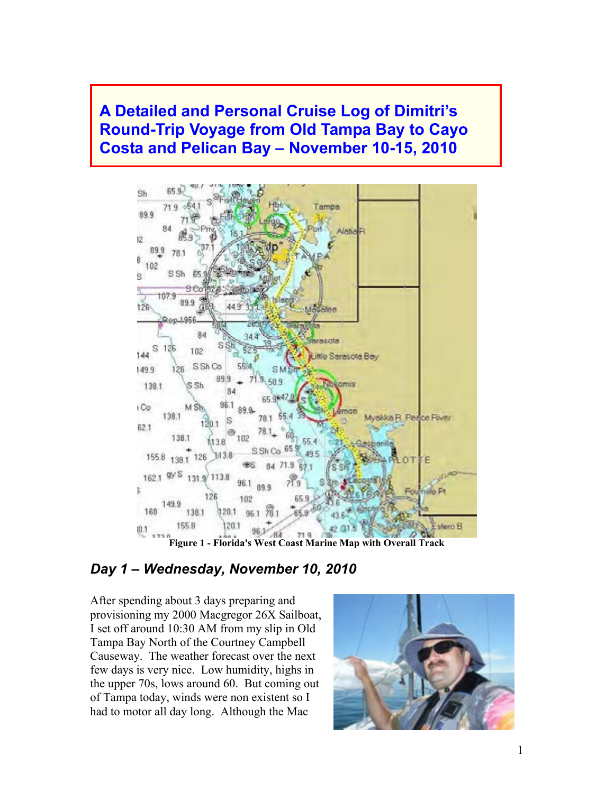## **A Detailed and Personal Cruise Log of Dimitri's Round-Trip Voyage from Old Tampa Bay to Cayo Costa and Pelican Bay – November 10-15, 2010**



**Figure 1 - Florida's West Coast Marine Map with Overall Track** 

### *Day 1 – Wednesday, November 10, 2010*

After spending about 3 days preparing and provisioning my 2000 Macgregor 26X Sailboat, I set off around 10:30 AM from my slip in Old Tampa Bay North of the Courtney Campbell Causeway. The weather forecast over the next few days is very nice. Low humidity, highs in the upper 70s, lows around 60. But coming out of Tampa today, winds were non existent so I had to motor all day long. Although the Mac

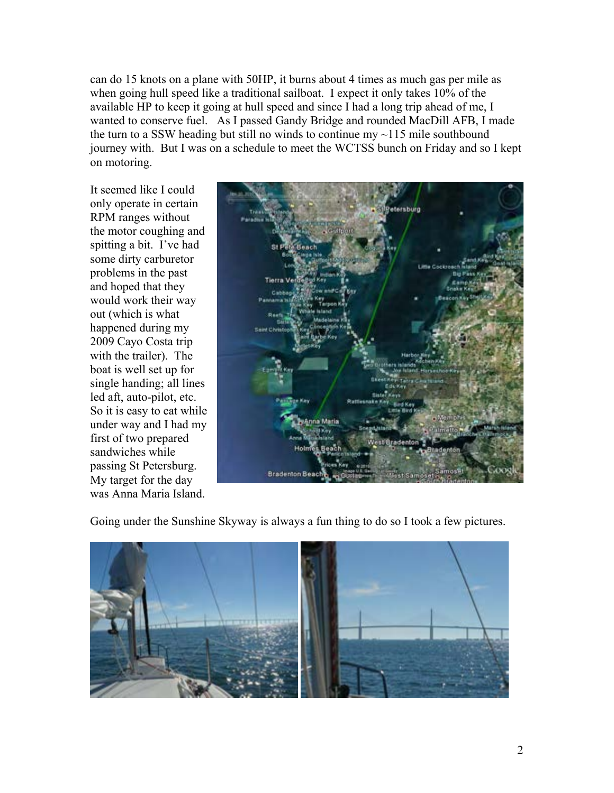can do 15 knots on a plane with 50HP, it burns about 4 times as much gas per mile as when going hull speed like a traditional sailboat. I expect it only takes 10% of the available HP to keep it going at hull speed and since I had a long trip ahead of me, I wanted to conserve fuel. As I passed Gandy Bridge and rounded MacDill AFB, I made the turn to a SSW heading but still no winds to continue  $mv \sim 115$  mile southbound journey with. But I was on a schedule to meet the WCTSS bunch on Friday and so I kept on motoring.

It seemed like I could only operate in certain RPM ranges without the motor coughing and spitting a bit. I've had some dirty carburetor problems in the past and hoped that they would work their way out (which is what happened during my 2009 Cayo Costa trip with the trailer). The boat is well set up for single handing; all lines led aft, auto-pilot, etc. So it is easy to eat while under way and I had my first of two prepared sandwiches while passing St Petersburg. My target for the day was Anna Maria Island.



Going under the Sunshine Skyway is always a fun thing to do so I took a few pictures.

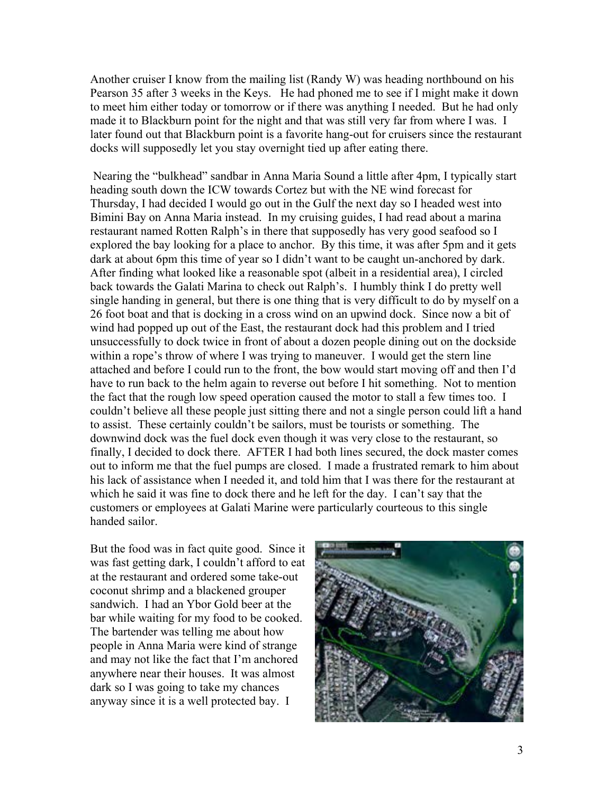Another cruiser I know from the mailing list (Randy W) was heading northbound on his Pearson 35 after 3 weeks in the Keys. He had phoned me to see if I might make it down to meet him either today or tomorrow or if there was anything I needed. But he had only made it to Blackburn point for the night and that was still very far from where I was. I later found out that Blackburn point is a favorite hang-out for cruisers since the restaurant docks will supposedly let you stay overnight tied up after eating there.

 Nearing the "bulkhead" sandbar in Anna Maria Sound a little after 4pm, I typically start heading south down the ICW towards Cortez but with the NE wind forecast for Thursday, I had decided I would go out in the Gulf the next day so I headed west into Bimini Bay on Anna Maria instead. In my cruising guides, I had read about a marina restaurant named Rotten Ralph's in there that supposedly has very good seafood so I explored the bay looking for a place to anchor. By this time, it was after 5pm and it gets dark at about 6pm this time of year so I didn't want to be caught un-anchored by dark. After finding what looked like a reasonable spot (albeit in a residential area), I circled back towards the Galati Marina to check out Ralph's. I humbly think I do pretty well single handing in general, but there is one thing that is very difficult to do by myself on a 26 foot boat and that is docking in a cross wind on an upwind dock. Since now a bit of wind had popped up out of the East, the restaurant dock had this problem and I tried unsuccessfully to dock twice in front of about a dozen people dining out on the dockside within a rope's throw of where I was trying to maneuver. I would get the stern line attached and before I could run to the front, the bow would start moving off and then I'd have to run back to the helm again to reverse out before I hit something. Not to mention the fact that the rough low speed operation caused the motor to stall a few times too. I couldn't believe all these people just sitting there and not a single person could lift a hand to assist. These certainly couldn't be sailors, must be tourists or something. The downwind dock was the fuel dock even though it was very close to the restaurant, so finally, I decided to dock there. AFTER I had both lines secured, the dock master comes out to inform me that the fuel pumps are closed. I made a frustrated remark to him about his lack of assistance when I needed it, and told him that I was there for the restaurant at which he said it was fine to dock there and he left for the day. I can't say that the customers or employees at Galati Marine were particularly courteous to this single handed sailor.

But the food was in fact quite good. Since it was fast getting dark, I couldn't afford to eat at the restaurant and ordered some take-out coconut shrimp and a blackened grouper sandwich. I had an Ybor Gold beer at the bar while waiting for my food to be cooked. The bartender was telling me about how people in Anna Maria were kind of strange and may not like the fact that I'm anchored anywhere near their houses. It was almost dark so I was going to take my chances anyway since it is a well protected bay. I

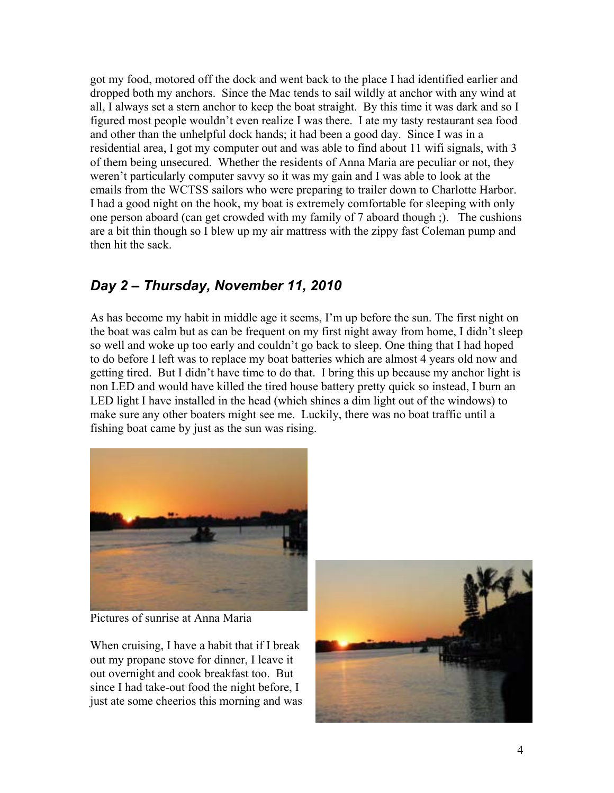got my food, motored off the dock and went back to the place I had identified earlier and dropped both my anchors. Since the Mac tends to sail wildly at anchor with any wind at all, I always set a stern anchor to keep the boat straight. By this time it was dark and so I figured most people wouldn't even realize I was there. I ate my tasty restaurant sea food and other than the unhelpful dock hands; it had been a good day. Since I was in a residential area, I got my computer out and was able to find about 11 wifi signals, with 3 of them being unsecured. Whether the residents of Anna Maria are peculiar or not, they weren't particularly computer savvy so it was my gain and I was able to look at the emails from the WCTSS sailors who were preparing to trailer down to Charlotte Harbor. I had a good night on the hook, my boat is extremely comfortable for sleeping with only one person aboard (can get crowded with my family of 7 aboard though ;). The cushions are a bit thin though so I blew up my air mattress with the zippy fast Coleman pump and then hit the sack.

## *Day 2 – Thursday, November 11, 2010*

As has become my habit in middle age it seems, I'm up before the sun. The first night on the boat was calm but as can be frequent on my first night away from home, I didn't sleep so well and woke up too early and couldn't go back to sleep. One thing that I had hoped to do before I left was to replace my boat batteries which are almost 4 years old now and getting tired. But I didn't have time to do that. I bring this up because my anchor light is non LED and would have killed the tired house battery pretty quick so instead, I burn an LED light I have installed in the head (which shines a dim light out of the windows) to make sure any other boaters might see me. Luckily, there was no boat traffic until a fishing boat came by just as the sun was rising.



Pictures of sunrise at Anna Maria

When cruising, I have a habit that if I break out my propane stove for dinner, I leave it out overnight and cook breakfast too. But since I had take-out food the night before, I just ate some cheerios this morning and was

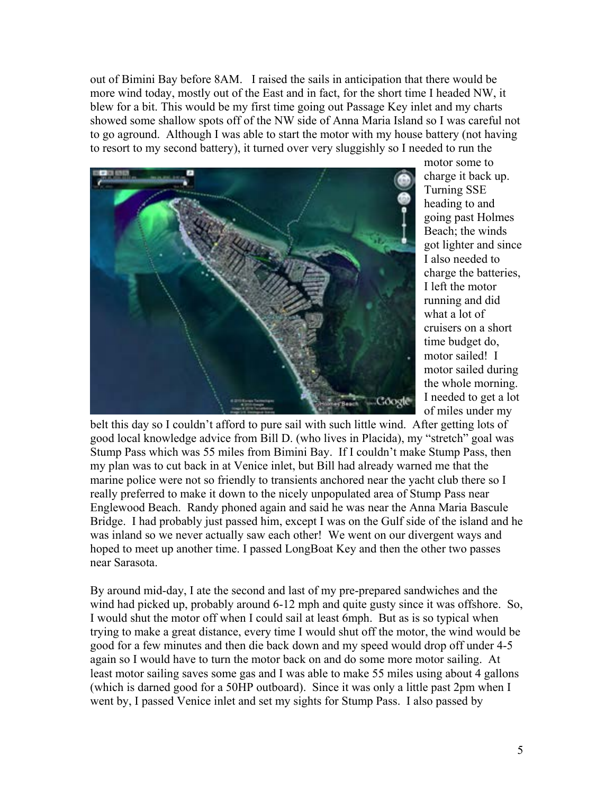out of Bimini Bay before 8AM. I raised the sails in anticipation that there would be more wind today, mostly out of the East and in fact, for the short time I headed NW, it blew for a bit. This would be my first time going out Passage Key inlet and my charts showed some shallow spots off of the NW side of Anna Maria Island so I was careful not to go aground. Although I was able to start the motor with my house battery (not having to resort to my second battery), it turned over very sluggishly so I needed to run the



motor some to charge it back up. Turning SSE heading to and going past Holmes Beach; the winds got lighter and since I also needed to charge the batteries, I left the motor running and did what a lot of cruisers on a short time budget do, motor sailed! I motor sailed during the whole morning. I needed to get a lot of miles under my

belt this day so I couldn't afford to pure sail with such little wind. After getting lots of good local knowledge advice from Bill D. (who lives in Placida), my "stretch" goal was Stump Pass which was 55 miles from Bimini Bay. If I couldn't make Stump Pass, then my plan was to cut back in at Venice inlet, but Bill had already warned me that the marine police were not so friendly to transients anchored near the yacht club there so I really preferred to make it down to the nicely unpopulated area of Stump Pass near Englewood Beach. Randy phoned again and said he was near the Anna Maria Bascule Bridge. I had probably just passed him, except I was on the Gulf side of the island and he was inland so we never actually saw each other! We went on our divergent ways and hoped to meet up another time. I passed LongBoat Key and then the other two passes near Sarasota.

By around mid-day, I ate the second and last of my pre-prepared sandwiches and the wind had picked up, probably around 6-12 mph and quite gusty since it was offshore. So, I would shut the motor off when I could sail at least 6mph. But as is so typical when trying to make a great distance, every time I would shut off the motor, the wind would be good for a few minutes and then die back down and my speed would drop off under 4-5 again so I would have to turn the motor back on and do some more motor sailing. At least motor sailing saves some gas and I was able to make 55 miles using about 4 gallons (which is darned good for a 50HP outboard). Since it was only a little past 2pm when I went by, I passed Venice inlet and set my sights for Stump Pass. I also passed by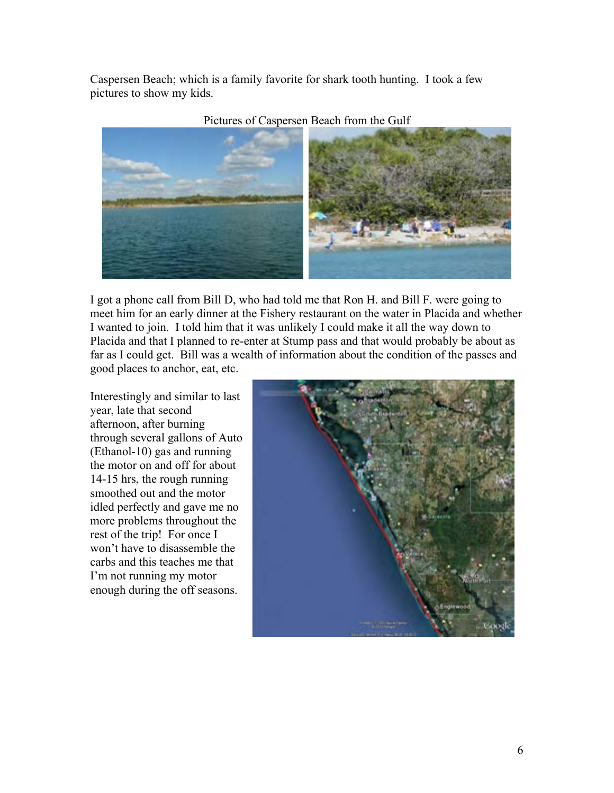Caspersen Beach; which is a family favorite for shark tooth hunting. I took a few pictures to show my kids.



#### Pictures of Caspersen Beach from the Gulf

I got a phone call from Bill D, who had told me that Ron H. and Bill F. were going to meet him for an early dinner at the Fishery restaurant on the water in Placida and whether I wanted to join. I told him that it was unlikely I could make it all the way down to Placida and that I planned to re-enter at Stump pass and that would probably be about as far as I could get. Bill was a wealth of information about the condition of the passes and good places to anchor, eat, etc.

Interestingly and similar to last year, late that second afternoon, after burning through several gallons of Auto (Ethanol-10) gas and running the motor on and off for about 14-15 hrs, the rough running smoothed out and the motor idled perfectly and gave me no more problems throughout the rest of the trip! For once I won't have to disassemble the carbs and this teaches me that I'm not running my motor enough during the off seasons.

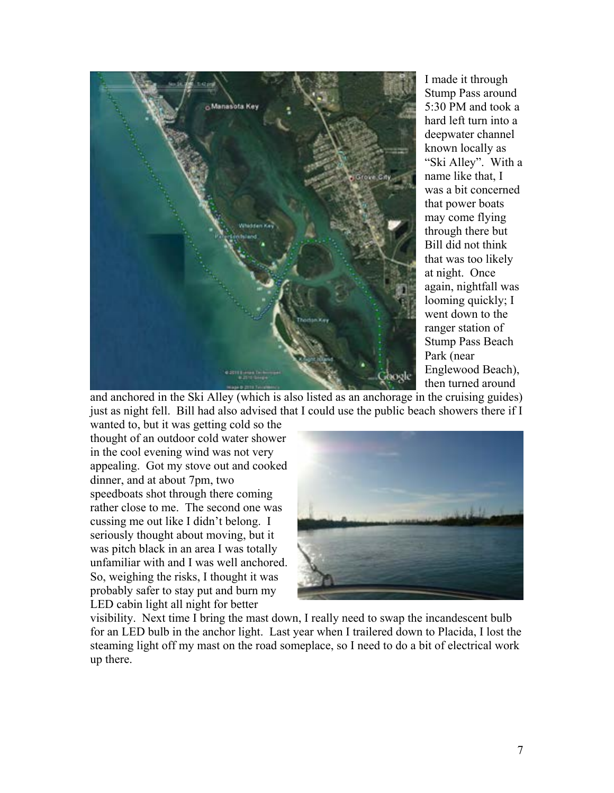

I made it through Stump Pass around 5:30 PM and took a hard left turn into a deepwater cha nnel known locally as "Ski Alley". Wit h a name like that, I was a bit concerne d that power boats may come flying through there but Bill did not think that was too likely at night. Once again, nightfall was looming quickly; I went down to t he ranger station of Stump Pass Beach Park (near Englewood Beac h), then turned around

and anchored in the Ski Alley (which is also listed as an anchorage in the cruising guides) just as night fell. Bill had also advised that I could use the public beach showers there if I

wanted to, but it was getting cold so the thought of an outdoor cold water shower in the cool evening wind was not very appealing. Got my stove out and cooked dinner, and at about 7pm, two speedboats shot through there coming rather close to me. The se cond one was cussing me out like I didn't belong. I unfamiliar with and I was well anchored. probably safer to stay put and burn my LED cabin light all night for better seriously thought about moving, but it was pitch black in an area I was totally So, weighing the risks, I thought it was



visibility. Next time I bring the mast down, I really need to swap the incandescent bulb for an LED bulb in the anchor light. Last year when I trailered down to Placida, I lost the steaming light off my mast on the road someplace, so I need to do a bit of electrical work up there.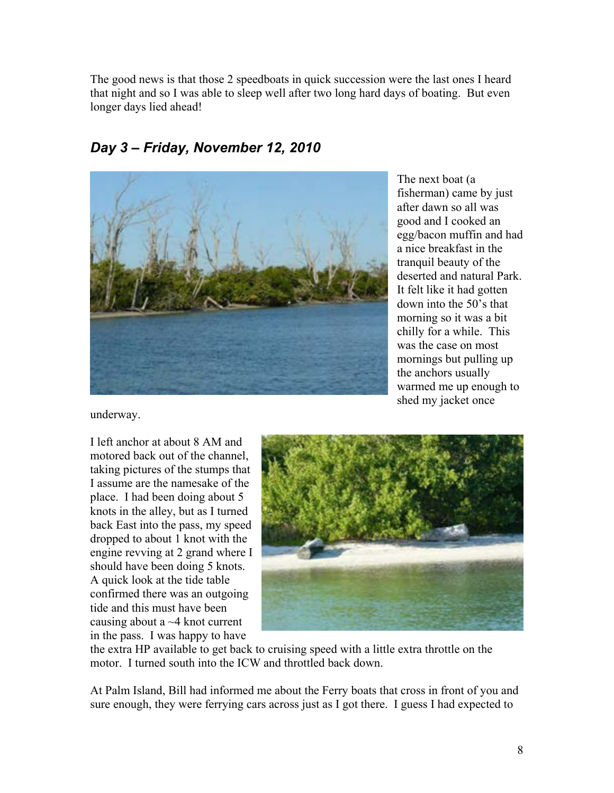The good news is that those 2 speedboats in quick succession were the last ones I heard that night and so I was able to sleep well after two long hard days of boating. But even longer days lied ahead!



*Day 3 – Friday, November 12, 2010* 

egg/bacon muffin and had deserted and natural Park. down into the 50's that morning so it was a bit chilly for a while. This The next boat (a fisherman) came by just after dawn so all was good and I cooked an a nice breakfast in the tranquil beauty of the It felt like it had gotten was the case on most mornings but pulling up the anchors usually warmed me up enough to shed my jacket once

underway.

I left anchor at about 8 AM and motored back out of the channel, taking pictures of the stumps that I assume are the namesake of the place. I had been doing about 5 knots in the alley, but as I turned back East into the pass, my speed dropped to about 1 knot with the engine revving at 2 grand where I should have been doing 5 knots. A quick look at the tide table confirmed there was an outgoing tide and this must have been causing about a  $\sim$  4 knot current in the pass. I was happy to have



motor. I turned south into the ICW and throttled back down. the extra HP available to get back to cruising speed with a little extra throttle on the

At Palm Island, Bill had informed me about the Ferry boats that cross in front of you and sure enough, they were ferrying cars across just as I got there. I guess I had expected to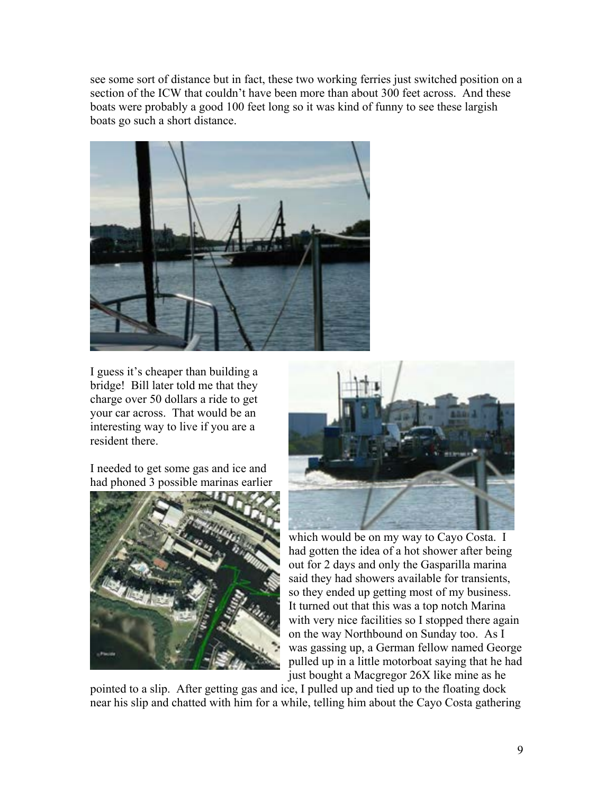see some sort of distance but in fact, these two working ferries just switched position on a section of the ICW that couldn't have been more than about 300 feet across. And these boats were probably a good 100 feet long so it was kind of funny to see these largish boats go such a short distance.



I guess it's cheaper than building a bridge! Bill later told me that they charge over 50 dollars a ride to get your car across. That would be an interesting way to live if you are a resident there.

I needed to get some gas and ice and had phoned 3 possible marinas earlier





which would be on m y way to Cayo Costa. I out for 2 days and only the Gasparilla m arina said they had showers availab le for transients, so they ended up getting most of my business. It turned out that this was a top notch Marina with very nice facilities so I stopped there again on the way Northbound on Sunday too. As I was gassing up, a German fellow named George pulled up in a little motorboat saying that he had just bought a Macgregor 26X like mine as he had gotten the idea of a hot shower after being

pointed to a slip. After getting gas and ice, I pulled up and tied up to the floating dock near his slip and chatted with him for a while, telling him about the Cayo Costa gathering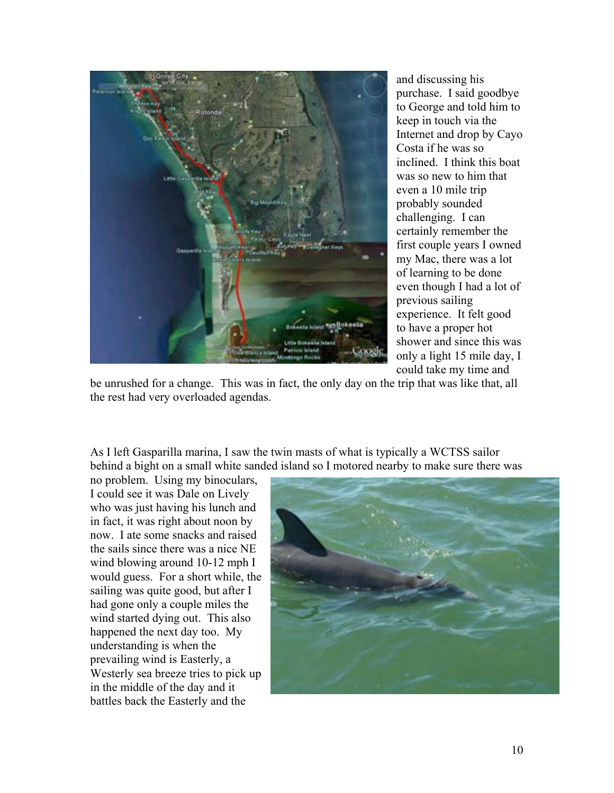

and discussing his purchase. I said goodbye to George and told him t o keep in touch via the Internet and drop by Cayo Costa if he was so inclined. I think this boat was so new to him th at even a 10 mile trip probably sounded challenging. I can certainly remember the first couple years I owne d my Mac, there was a lot of learning to be done even though I had a lot of previous sailing experience. It felt go od to have a proper hot shower and since this w as only a light 15 mile da y, I could take my time and

be unrushed for a change. This was in fact, the only day on the trip that was like that, al l the rest had very overloaded agendas.

As I left Gasparilla marina, I saw the twin masts of what is typically a WCTSS sailor behind a bight on a small white sanded island so I motored nearby to make sure there wa s

no problem. Using my binoculars, I could see it was Dale on Lively who was just having his lunch and in fact, it was right about noon by now. I ate some snacks and raised the sails since there was a nice NE would guess. For a short while, the Westerly sea breeze tries to pick up wind blowing around 10-12 mph I sailing was quite good, but after I had gone only a couple miles the wind started dying out. This also happened the next day too. My understanding is when the prevailing wind is Easterly, a in the middle of the day and it battles back the Easterly and the

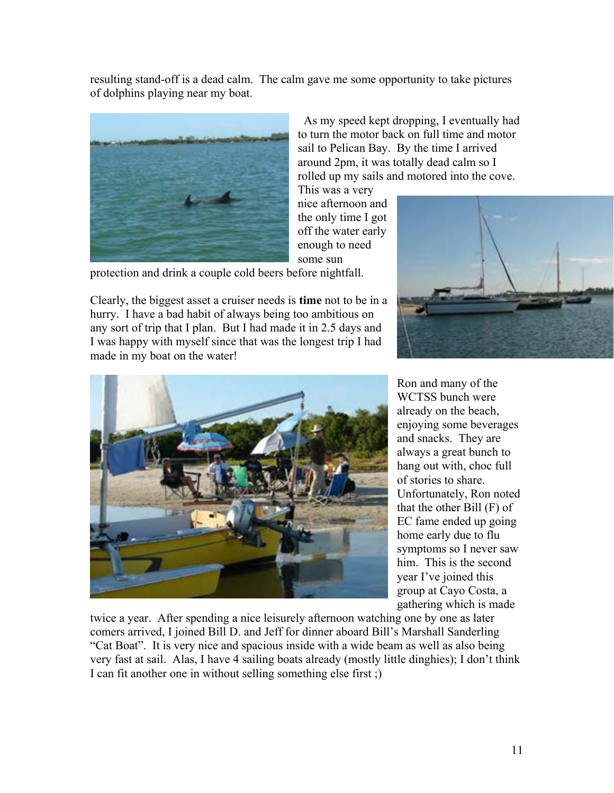resulting stand-off is a dead calm. The calm gave me some opportunity to take pictures of dolphins playing near my boat.



 As my speed kept dropping, I eventually had to turn the motor back on full time and motor sail to Pelican Bay. By the time I arrived around 2pm, it was totally dead calm so I rolled up my sails and motored into the cove.

This was a very nice afternoon and the only time I got off the water early enough to need some sun

protection and drink a couple cold beers before nightfall.

Clearly, the biggest asset a cruiser needs is **time** not to be in a hurry. I have a bad habit of always being too ambitious on any sort of trip that I plan. But I had made it in 2.5 days and I was happy with myself since that was the longest trip I had made in my boat on the water!





enjoying some beverages always a great bunch to hang out with, choc full Unfortunately, Ron noted home early due to flu Ron and many of the WCTSS bunch were already on the beach, and snacks. They are of stories to share. that the other Bill (F) of EC fame ended up going symptoms so I never saw him. This is the second year I've joined this group at Cayo Costa, a gathering which is made

twice a year. After spending a nice leisurely afternoon watching one by one as later comers arrived, I joined Bill D. and Jeff for dinner aboard Bill's Marshall Sanderling "Cat Boat". It is very nice and spacious inside with a wide beam as well as also being very fast at sail. Alas, I have 4 sailing boats already (mostly little dinghies); I don't think I can fit another one in without selling something else first ;)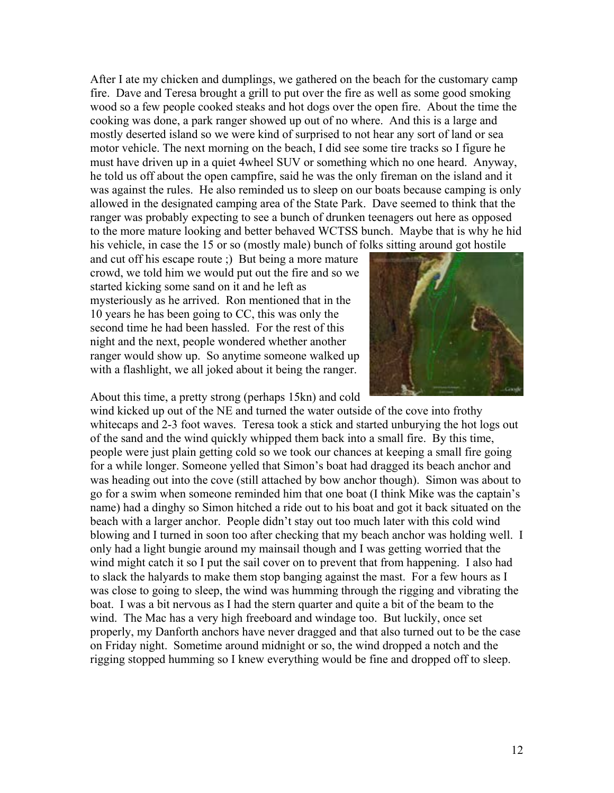After I ate my chicken and dumplings, we gathered on the beach for the customary camp fire. Dave and Teresa brought a grill to put over the fire as well as some good smoking wood so a few people cooked steaks and hot dogs over the open fire. About the time the must have driven up in a quiet 4wheel SUV or something which no one heard. Anyway, he told us off about the open campfire, said he was the only fireman on the island and it was against the rules. He also reminded us to sleep on our boats because camping is only cooking was done, a park ranger showed up out of no where. And this is a large and mostly deserted island so we were kind of surprised to not hear any sort of land or sea motor vehicle. The next morning on the beach, I did see some tire tracks so I figure he allowed in the designated camping area of the State Park. Dave seemed to think that the ranger was probably expecting to see a bunch of drunken teenagers out here as opposed to the more mature looking and better behaved WCTSS bunch. Maybe that is why he hid his vehicle, in case the 15 or so (mostly male) bunch of folks sitting around got hostile

second time he had been hassled. For the rest of this ranger would show up. So anytime someone walked up with a flashlight, we all joked about it being the ranger. and cut off his escape route ;) But being a more mature crowd, we told him we would put out the fire and so we started kicking some sand on it and he left as mysteriously as he arrived. Ron mentioned that in the 10 years he has been going to CC, this was only the night and the next, people wondered whether another

About this time, a pretty strong (perhaps 15kn) and cold



wind kicked up out of the NE and turned the water outside of the cove into frothy whitecaps and 2-3 foot waves. Teresa took a stick and started unburying the hot logs out of the sand and the wind quickly whipped them back into a small fire. By this time, people were just plain getting cold so we took our chances at keeping a small fire going was heading out into the cove (still attached by bow anchor though). Simon was about to name) had a dinghy so Simon hitched a ride out to his boat and got it back situated on the wind might catch it so I put the sail cover on to prevent that from happening. I also had was close to going to sleep, the wind was humming through the rigging and vibrating the rigging stopped humming so I knew everything would be fine and dropped off to sleep. for a while longer. Someone yelled that Simon's boat had dragged its beach anchor and go for a swim when someone reminded him that one boat (I think Mike was the captain's beach with a larger anchor. People didn't stay out too much later with this cold wind blowing and I turned in soon too after checking that my beach anchor was holding well. I only had a light bungie around my mainsail though and I was getting worried that the to slack the halyards to make them stop banging against the mast. For a few hours as I boat. I was a bit nervous as I had the stern quarter and quite a bit of the beam to the wind. The Mac has a very high freeboard and windage too. But luckily, once set properly, my Danforth anchors have never dragged and that also turned out to be the case on Friday night. Sometime around midnight or so, the wind dropped a notch and the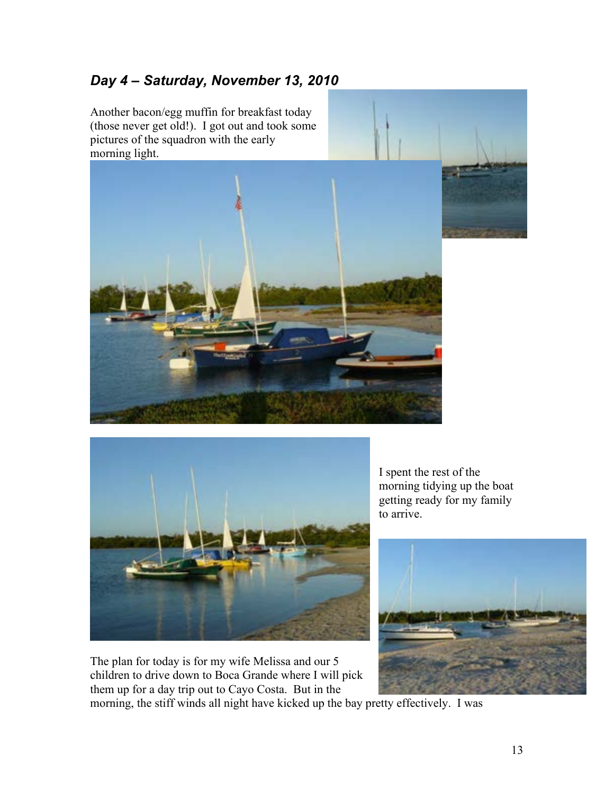## *Day 4 – Saturday, November 13, 2010*

Another bacon/egg muffin for breakfast today (those never get old!). I got out and took some pictures of the squadron with the early





children to drive down to Boca Grande where I will pick The plan for today is for my wife Melissa and our 5 them up for a day trip out to Cayo Costa. But in the

morning tidying up the boat I spent the rest of the getting ready for my family to arrive.



morning, the stiff winds all night have kicked up the bay pretty effectively. I was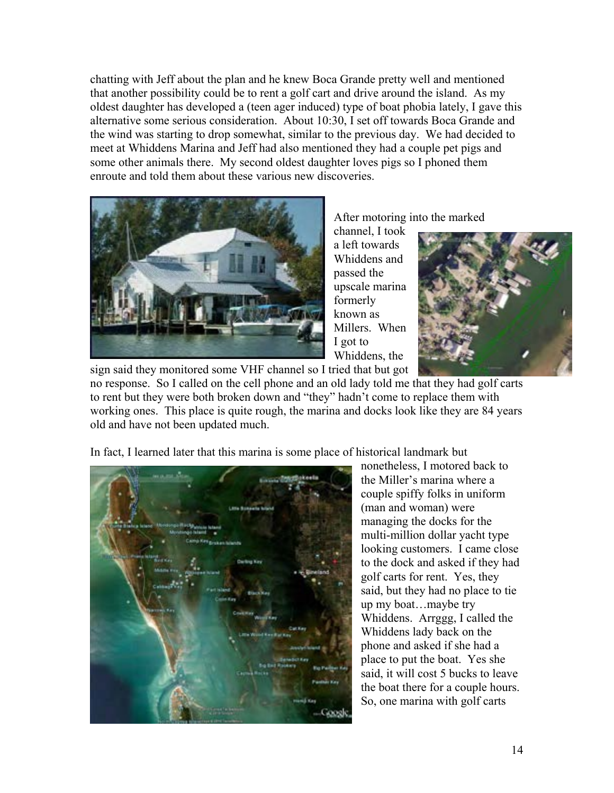chatting with Jeff about the plan and he knew Boca Grande pretty well and mentioned that another possibility could be to rent a golf cart and drive around the island. As my oldest daughter has developed a (teen ager induced) type of boat phobia lately, I gave this alternative some serious consideration. About 10:30, I set off towards Boca Grande a nd the wind was starting to drop somewhat, similar to the previous day. We had decided to meet at Whiddens Marina and Jeff had also mentioned they had a couple pet pigs and some other animals there. My second oldest daughter loves pigs so I phoned them enroute and told them about these various new discoveries.



After motoring into the marked

Whiddens and upscale marina Millers. When Whiddens, the channel, I took a left towards passed the formerly known as I got to



no response. So I called on the cell phone and an old lady told me that they had golf carts working ones. This place is quite rough, the marina and docks look like they are 84 years old and have not been updated much. to rent but they were both broken down and "they" hadn't come to replace them with

In fact, I learned later that this marina is some place of h istorical landmark but

Coost

nonetheless, I motored back to couple spiffy folks in uniform to the dock and asked if they had said, but they had no place to tie Whiddens. Arrggg, I called the the boat there for a couple hours. the Miller's marina where a (man and woman) were managing the docks for the multi-million dollar yacht type looking customers. I came close golf carts for rent. Yes, they up my boat…maybe try Whiddens lady back on the phone and asked if she had a place to put the boat. Yes she said, it will cost 5 bucks to leave So, one marina with golf carts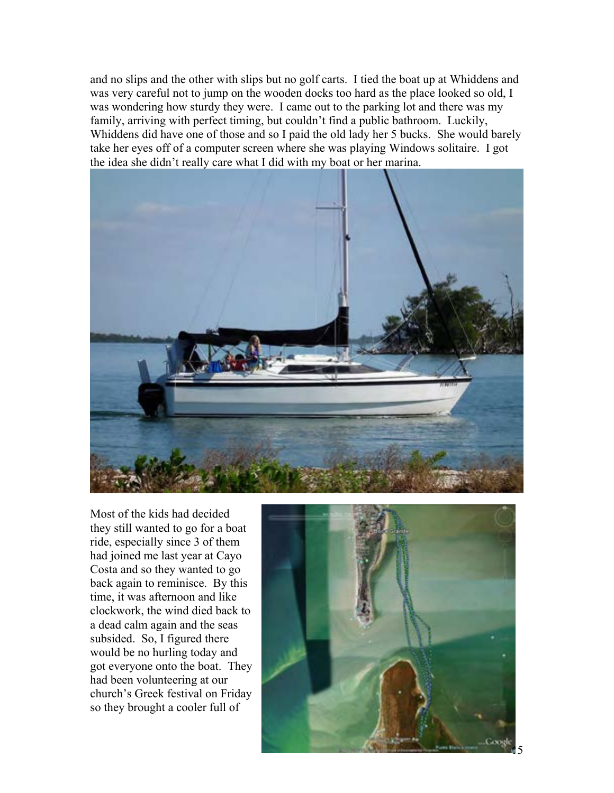and no slips and the other with slips but no golf carts. I tied the boat up at Whiddens and was very careful not to jump on the wooden docks too hard as the place looked so old, I was wondering how sturdy they were. I came out to the parking lot and there was my family, arriving with perfect timing, but couldn't find a public bathroom. Luckily, Whiddens did have one of those and so I paid the old lady her 5 bucks. She would barely take her eyes off of a computer screen where she was playing Windows solitaire. I got the idea she didn't really care what I did with my boat or her marina.



Most of the kids had decided they still wanted to go for a boat ride, especially since 3 of them had joined me last year at Cayo Costa and so they wanted to go back again to reminisce. By this time, it was afternoon and like clockwork, the wind died back to a dead calm again and the seas subsided. So, I figured there would be no hurling today and got everyone onto the boat. They had been volunteering at our church's Greek festival on Friday so they brought a cooler full of

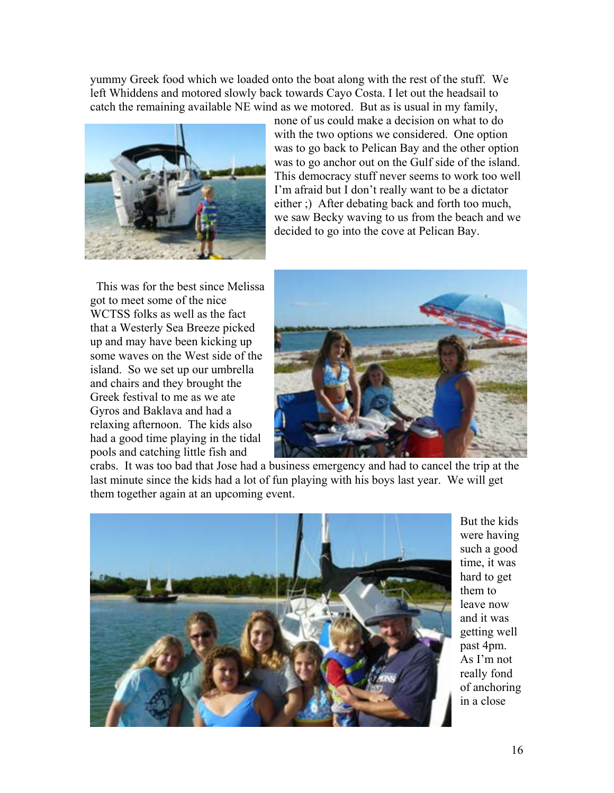yummy Greek food which we loaded onto the boat along with the rest of the stuff. We left Whiddens and motored slowly back towards Cayo Costa. I let out the headsail to catch the remaining available NE wind as we motored. But as is usual in my family,



none of us could make a decision on what to do with the two options we considered. One option was to go back to Pelican Bay and the other option was to go anchor out on the Gulf side of the island. This democracy stuff never seems to work too well I'm afraid but I don't really want to be a dictator either ;) After debating back and forth too much, we saw Becky waving to us from the beach and we decided to go into the cove at Pelican Bay.

 This was for the best since Melissa got to meet some of the nice WCTSS folks as well as the fact that a Westerly Sea Breeze picked up and may have been kicking up some waves on the West side of the island. So we set up our umbrella and chairs and they brought the Greek festival to me as we ate Gyros and Baklava and had a relaxing afternoon. The kids also had a good time playing in the tidal pools and catching little fish and



crabs. It was too bad that Jose had a business emergency and had to cancel the trip at the last minute since the kids had a lot of fun playing with his boys last year. We will get them together again at an upcoming event.



But the kids were having such a good time, it was hard to get them to leave now and it was getting well past 4pm. As I'm not really fond of anchoring in a close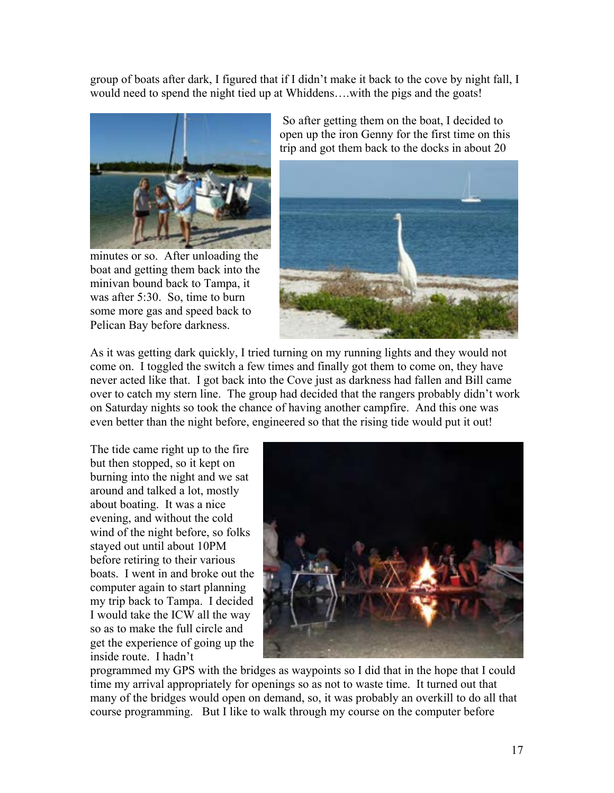group of boats after dark, I figured that if I didn't make it back to the cove by night fall, I would need to spend the night tied up at Whiddens….with the pigs and the goats!



minutes or so. After unloading the boat and getting them back into the minivan bound back to Tampa, it was after 5:30. So, time to burn some more gas and speed back to Pelican Bay before darkness.

 So after getting them on the boat, I decided to open up the iron Genny for the first time on this trip and got them back to the docks in about 20



As it was getting dark quickly, I tried turning on my running lights and they would not come on. I toggled the switch a few times and finally got them to come on, they have never acted like that. I got back into the Cove just as darkness had fallen and Bill came over to catch my stern line. The group had decided that the rangers probably didn't work on Saturday nights so took the chance of having another campfire. And this one was even better than the night before, engineered so that the rising tide would put it out!

The tide came right up to the fire but then stopped, so it kept on burning into the night and we sat around and talked a lot, mostly about boating. It was a nice evening, and without the cold wind of the night before, so folks stayed out until about 10PM before retiring to their various boats. I went in and broke out the computer again to start planning my trip back to Tampa. I decided I would take the ICW all the way so as to make the full circle and get the experience of going up the inside route. I hadn't



programmed my GPS with the bridges as waypoints so I did that in the hope that I could time my arrival appropriately for openings so as not to waste time. It turned out that many of the bridges would open on demand, so, it was probably an overkill to do all that course programming. But I like to walk through my course on the computer before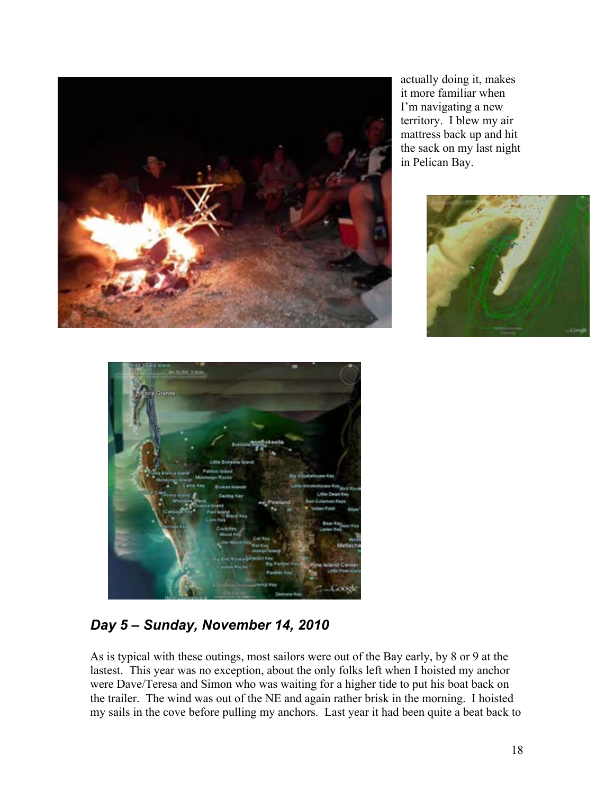

actually doing it, makes it more familiar when I'm navigating a n ew territory. I blew my air mattress back up and hit the sack on my last night in Pelican Bay.





# *Day 5 – Sunday, November 14, 2010*

As is typical with these outings, most sailors were out of the Bay early, by 8 or 9 at the lastest. This year was no exception, about the only folks left when I hoisted my anchor were Dave/Teresa and Simon who was waiting for a higher tide to put his boat back on the trailer. The wind was out of the NE and again rather brisk in the morning. I hoisted my sails in the cove before pulling my anchors. Last year it had been quite a beat back to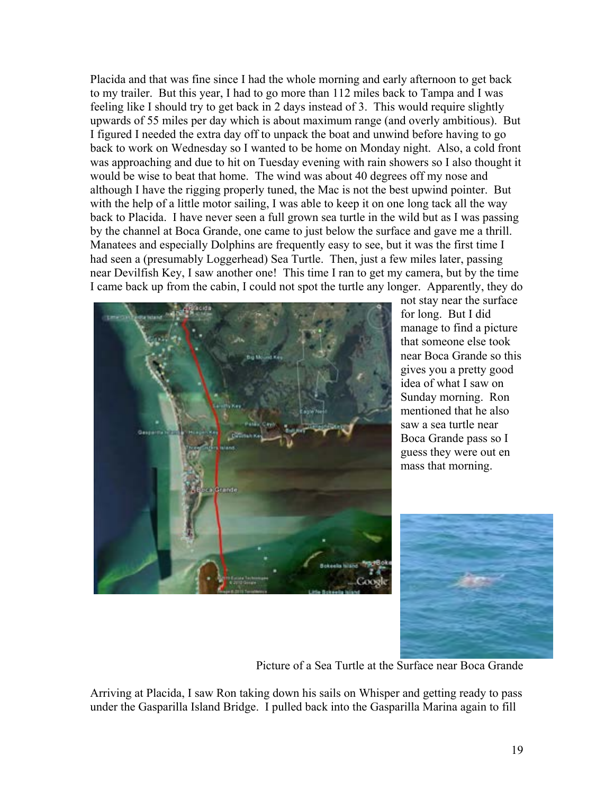Placida and that was fine since I had the whole morning and early afternoon to get back to my trailer. But this year, I had to go more than 112 miles back to Tampa and I was feeling like I should try to get back in 2 days instead of 3. This would require slightly upwards of 55 miles per day which is about maximum range (and overly ambitious). But I figured I needed the extra day off to unpack the boat and unwind before having to go back to work on Wednesday so I wanted to be home on Monday night. Also, a cold front was approaching and due to hit on Tuesday evening with rain showers so I also thought it would be wise to beat that home. The wind was about 40 degrees off my nose and although I have the rigging properly tuned, the Mac is not the best upwind pointer. But with the help of a little motor sailing, I was able to keep it on one long tack all the way back to Placida. I have never seen a full grown sea turtle in the wild but as I was passing by the channel at Boca Grande, one came to just below the surface and gave me a thrill. Manatees and especially Dolphins are frequently easy to see, but it was the first time I had seen a (presumably Loggerhead) Sea Turtle. Then, just a few miles later, passing near Devilfish Key, I saw another one! This time I ran to get my camera, but by the time I came back up from the cabin, I could not spot the turtle any longer. Apparently, they do



not stay near the surface for long. But I did manage to find a picture that someone else took near Boca Grande so this gives you a pretty good idea of what I saw on Sunday morning. Ron mentioned that he also saw a sea turtle near Boca Grande pass so I guess they were out en mass that morning.



Picture of a Sea Turtle at the Surface near Boca Grande

Arriving at Placida, I saw Ron taking down his sails on Whisper and getting ready to pass under the Gasparilla Island Bridge. I pulled back into the Gasparilla Marina again to fill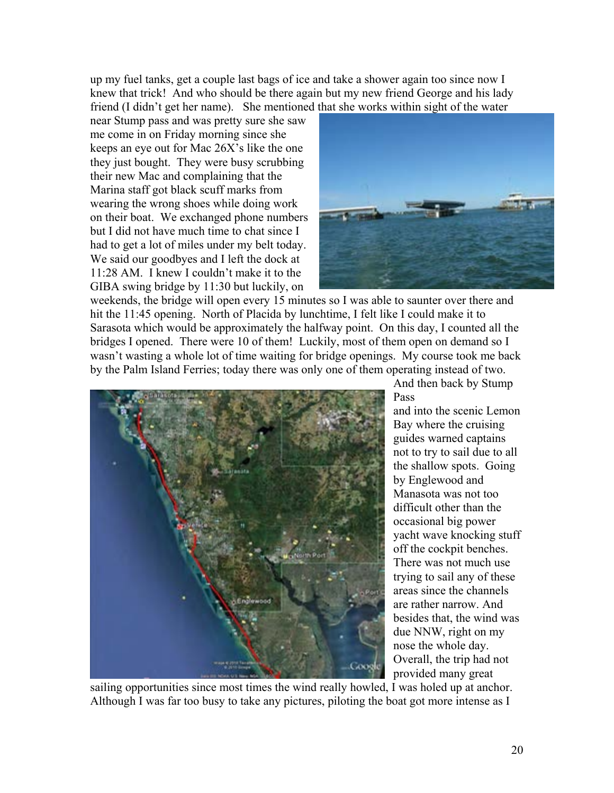up my fuel tanks, get a couple last bags of ice and take a shower again too since now I knew that trick! And who should be there again but my new friend George and his lady friend (I didn't get her name). She mentioned that she works within sight of the water

near Stump pass and was pretty sure she saw me come in on Friday morning since she keeps an eye out for Mac 26X's like the one they just bought. They were busy scrubbing their new Mac and complaining that the Marina staff got black scuff marks from wearing the wrong shoes while doing work on their boat. We exchanged phone numbers but I did not have much time to chat since I had to get a lot of miles under my belt today. We said our goodbyes and I left the dock at 11:28 AM. I knew I couldn't make it to the GIBA swing bridge by 11:30 but luckily, on



weekends, the bridge will open every 15 minutes so I was able to saunter over there and hit the 11:45 opening. North of Placida by lunchtime, I felt like I could make it to Sarasota which would be approximately the halfway point. On this day, I counted all the bridges I opened. There were 10 of them! Luckily, most of them open on demand so I wasn't wasting a whole lot of time waiting for bridge openings. My course took me back by the Palm Island Ferries; today there was only one of them operating instead of two.



And then back by Stump Pass

and into the scenic Lemon Bay where the cruising guides warned captains not to try to sail due to all the shallow spots. Going by Englewood and Manasota was not too difficult other than the occasional big power yacht wave knocking stuff off the cockpit benches. There was not much use trying to sail any of these areas since the channels are rather narrow. And besides that, the wind was due NNW, right on my nose the whole day. Overall, the trip had not provided many great

sailing opportunities since most times the wind really howled, I was holed up at anchor. Although I was far too busy to take any pictures, piloting the boat got more intense as I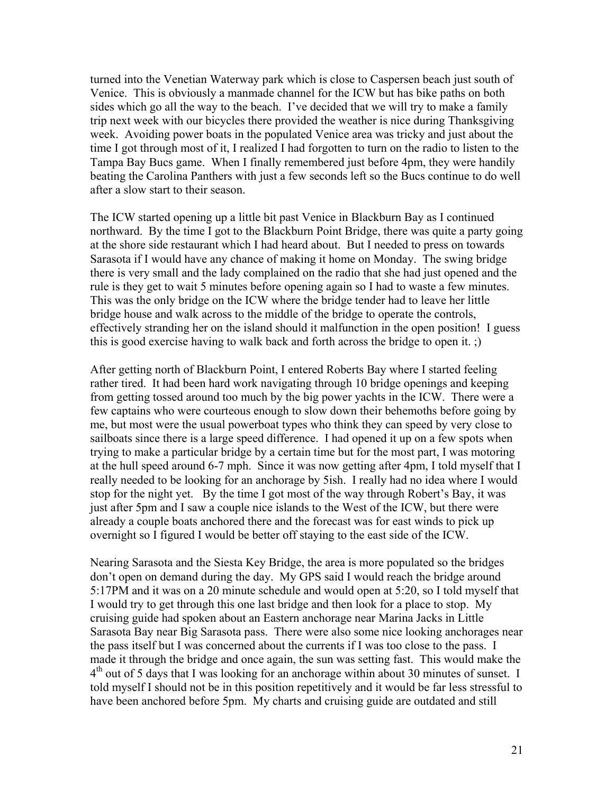turned into the Venetian Waterway park which is close to Caspersen beach just south of Venice. This is obviously a manmade channel for the ICW but has bike paths on both sides which go all the way to the beach. I've decided that we will try to make a family trip next week with our bicycles there provided the weather is nice during Thanksgiving week. Avoiding power boats in the populated Venice area was tricky and just about the time I got through most of it, I realized I had forgotten to turn on the radio to listen to the Tampa Bay Bucs game. When I finally remembered just before 4pm, they were handily beating the Carolina Panthers with just a few seconds left so the Bucs continue to do well after a slow start to their season.

The ICW started opening up a little bit past Venice in Blackburn Bay as I continued northward. By the time I got to the Blackburn Point Bridge, there was quite a party going at the shore side restaurant which I had heard about. But I needed to press on towards Sarasota if I would have any chance of making it home on Monday. The swing bridge there is very small and the lady complained on the radio that she had just opened and the rule is they get to wait 5 minutes before opening again so I had to waste a few minutes. This was the only bridge on the ICW where the bridge tender had to leave her little bridge house and walk across to the middle of the bridge to operate the controls, effectively stranding her on the island should it malfunction in the open position! I guess this is good exercise having to walk back and forth across the bridge to open it. ;)

After getting north of Blackburn Point, I entered Roberts Bay where I started feeling rather tired. It had been hard work navigating through 10 bridge openings and keeping from getting tossed around too much by the big power yachts in the ICW. There were a few captains who were courteous enough to slow down their behemoths before going by me, but most were the usual powerboat types who think they can speed by very close to sailboats since there is a large speed difference. I had opened it up on a few spots when trying to make a particular bridge by a certain time but for the most part, I was motoring at the hull speed around 6-7 mph. Since it was now getting after 4pm, I told myself that I really needed to be looking for an anchorage by 5ish. I really had no idea where I would stop for the night yet. By the time I got most of the way through Robert's Bay, it was just after 5pm and I saw a couple nice islands to the West of the ICW, but there were already a couple boats anchored there and the forecast was for east winds to pick up overnight so I figured I would be better off staying to the east side of the ICW.

Nearing Sarasota and the Siesta Key Bridge, the area is more populated so the bridges don't open on demand during the day. My GPS said I would reach the bridge around 5:17PM and it was on a 20 minute schedule and would open at 5:20, so I told myself that I would try to get through this one last bridge and then look for a place to stop. My cruising guide had spoken about an Eastern anchorage near Marina Jacks in Little Sarasota Bay near Big Sarasota pass. There were also some nice looking anchorages near the pass itself but I was concerned about the currents if I was too close to the pass. I made it through the bridge and once again, the sun was setting fast. This would make the  $4<sup>th</sup>$  out of 5 days that I was looking for an anchorage within about 30 minutes of sunset. I told myself I should not be in this position repetitively and it would be far less stressful to have been anchored before 5pm. My charts and cruising guide are outdated and still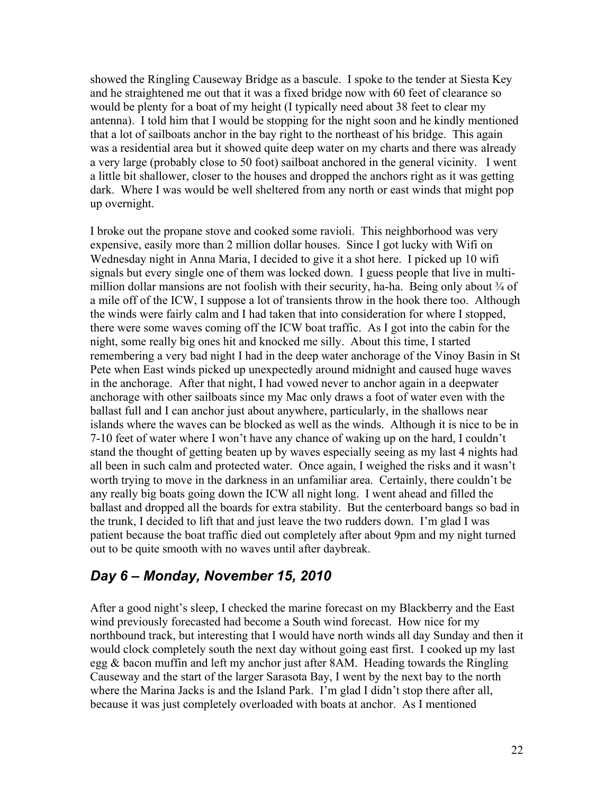showed the Ringling Causeway Bridge as a bascule. I spoke to the tender at Siesta Key and he straightened me out that it was a fixed bridge now with 60 feet of clearance so would be plenty for a boat of my height (I typically need about 38 feet to clear my antenna). I told him that I would be stopping for the night soon and he kindly mentioned that a lot of sailboats anchor in the bay right to the northeast of his bridge. This again was a residential area but it showed quite deep water on my charts and there was already a very large (probably close to 50 foot) sailboat anchored in the general vicinity. I went a little bit shallower, closer to the houses and dropped the anchors right as it was getting dark. Where I was would be well sheltered from any north or east winds that might pop up overnight.

I broke out the propane stove and cooked some ravioli. This neighborhood was very expensive, easily more than 2 million dollar houses. Since I got lucky with Wifi on Wednesday night in Anna Maria, I decided to give it a shot here. I picked up 10 wifi signals but every single one of them was locked down. I guess people that live in multimillion dollar mansions are not foolish with their security, ha-ha. Being only about  $\frac{3}{4}$  of a mile off of the ICW, I suppose a lot of transients throw in the hook there too. Although the winds were fairly calm and I had taken that into consideration for where I stopped, there were some waves coming off the ICW boat traffic. As I got into the cabin for the night, some really big ones hit and knocked me silly. About this time, I started remembering a very bad night I had in the deep water anchorage of the Vinoy Basin in St Pete when East winds picked up unexpectedly around midnight and caused huge waves in the anchorage. After that night, I had vowed never to anchor again in a deepwater anchorage with other sailboats since my Mac only draws a foot of water even with the ballast full and I can anchor just about anywhere, particularly, in the shallows near islands where the waves can be blocked as well as the winds. Although it is nice to be in 7-10 feet of water where I won't have any chance of waking up on the hard, I couldn't stand the thought of getting beaten up by waves especially seeing as my last 4 nights had all been in such calm and protected water. Once again, I weighed the risks and it wasn't worth trying to move in the darkness in an unfamiliar area. Certainly, there couldn't be any really big boats going down the ICW all night long. I went ahead and filled the ballast and dropped all the boards for extra stability. But the centerboard bangs so bad in the trunk, I decided to lift that and just leave the two rudders down. I'm glad I was patient because the boat traffic died out completely after about 9pm and my night turned out to be quite smooth with no waves until after daybreak.

### *Day 6 – Monday, November 15, 2010*

After a good night's sleep, I checked the marine forecast on my Blackberry and the East wind previously forecasted had become a South wind forecast. How nice for my northbound track, but interesting that I would have north winds all day Sunday and then it would clock completely south the next day without going east first. I cooked up my last egg & bacon muffin and left my anchor just after 8AM. Heading towards the Ringling Causeway and the start of the larger Sarasota Bay, I went by the next bay to the north where the Marina Jacks is and the Island Park. I'm glad I didn't stop there after all, because it was just completely overloaded with boats at anchor. As I mentioned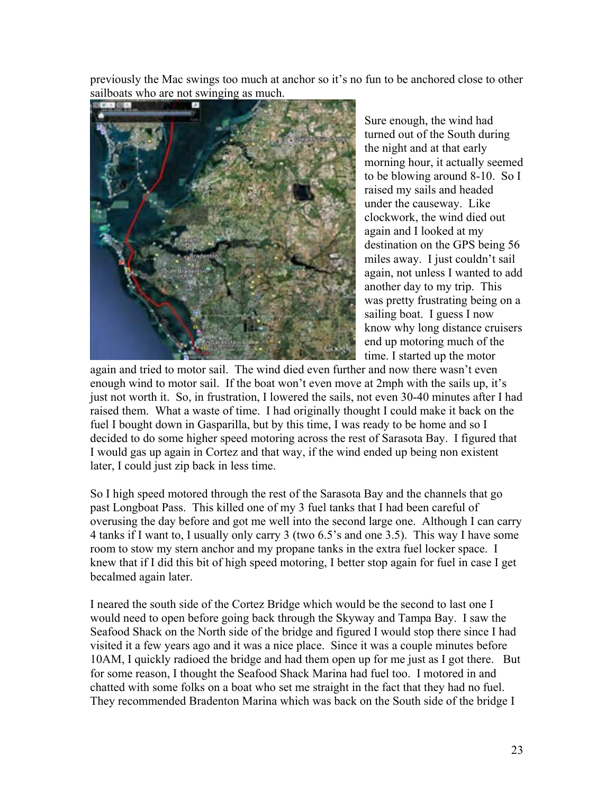previously the Mac swings too much at anchor so it's no fun to be anchored close to other sailboats who are not swinging as much.



Sure enough, the wind had turned out of the South during the night and at that early morning hour, it actually seemed to be blowing around 8-10. So I raised my sails and headed under the causeway. Like clockwork, the wind died out again and I looked at my destination on the GPS being 56 miles away. I just couldn't sail again, not unless I wanted to add another day to my trip. This was pretty frustrating being on a sailing boat. I guess I now know why long distance cruiser s end up motoring much of th e time. I started up the motor

again and tried to motor sail. The wind died even further and now there wasn't even enough wind to motor sail. If the boat won't even move at 2mph with the sails up, i t's just not worth it. So, in frustration, I lowered the sails, not even 30-40 minutes after I ha d raised them. What a waste of time. I had originally thought I could make it back on the fuel I bought down in Gasparilla, but by this time, I was ready to be home and so I decided to do some higher speed motoring across the rest of Sarasota Bay. I figured th at I would gas up again in Cortez and that way, if the wind ended up being non existent later, I cou ld just zip back in less time.

So I high speed motored through the rest of the Sarasota Bay and the channels that go past Longboat Pass. This killed one of my 3 fuel tanks that I had been careful of overusing the day before and got me well into the second large one. Although I can carry 4 tanks if I want to, I usually only carry 3 (two 6.5's and one 3.5). This way I have some room to stow my stern anchor and my propane tanks in the extra fuel locker space. I knew that if I did this bit of high speed motoring, I better stop again for fuel in case I get becalmed again later.

I neared the south side of the Cortez Bridge which would be the second to last one I would need to open before going back through the Skyway and Tampa Bay. I saw the Seafood Shack on the North side of the bridge and figured I would stop there since I had visited it a few years ago and it was a nice place. Since it was a couple minutes before 10AM, I quickly radioed the bridge and had them open up for me just as I got there. But for some reason, I thought the Seafood Shack Marina had fuel too. I motored in and chatted with some folks on a boat who set me straight in the fact that they had no fuel. They recommended Bradenton Marina which was back on the South side of the bridge I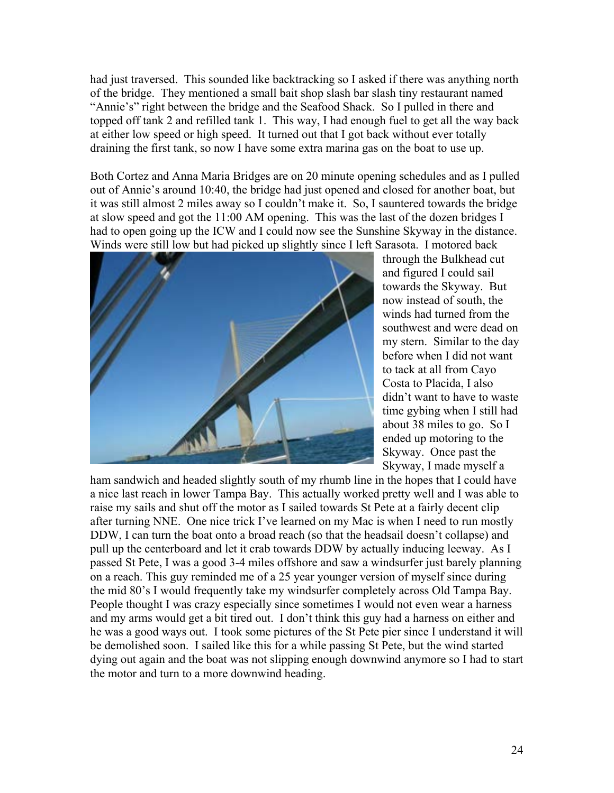had just traversed. This sounded like backtracking so I asked if there was anything north of the bridge. They mentioned a small bait shop slash bar slash tiny restaurant named "Annie's" right between the bridge and the Seafood Shack. So I pulled in there and topped off tank 2 and refilled tank 1. This way, I had enough fuel to get all the way back at either low speed or high speed. It turned out that I got back without ever totally draining the first tank, so now I have some extra marina gas on the boat to use up.

Both Cortez and Anna Maria Bridges are on 20 minute opening schedules and as I pulled out of Annie's around 10:40, the bridge had just opened and closed for another boat, but it was still almost 2 miles away so I couldn't make it. So, I sauntered towards the bridge at slow speed and got the 11:00 AM opening. This was the last of the dozen bridges I had to open going up the ICW and I could now see the Sunshine Skyway in the distance. Winds were still low but had picked up slightly since I left Sarasota. I motored back



through the Bulkhead cut and figured I could sail towards the Skyway. B ut now instead of south, the winds had turned fro m the southwest and were dead on my stern. Similar to the day before when I did not want to tack at all from Cayo Costa to Placida, I also didn't want to have to waste time gybing when I still h ad about 38 miles to go. So I ended up motoring to the Skyway. Once past the Skyway, I made myself a

ham sandwich and headed slightly south of my rhumb line in the hopes that I could ha ve a nice last reach in lower Tampa Bay. This actually worked pretty well and I was able to raise my sails and shut off the motor as I sailed towards St Pete at a fairly decent clip after turning NNE. One nice trick I've learned on my Mac is when I need to run mostly DDW, I can turn the boat onto a broad reach (so that the headsail doesn't collapse) and pull up the centerboard and let it crab towards DDW by actually inducing leeway. As I passed St Pete, I was a good 3-4 miles offshore and saw a windsurfer just barely plann ing on a reach. This guy reminded me of a 25 year younger version of myself since during the mid 80's I would frequently take my windsurfer completely across Old Tampa Bay. People thought I was crazy especially since sometimes I would not even wear a harness and my arms would get a bit tired out. I don't think this guy had a harness on either and he was a good ways out. I took some pictures of the St Pete pier since I understand i t will be demolished soon. I sailed like this for a while passing St Pete, but the wind started dying out again and the boat was not slipping enough downwind anymore so I had to start the motor and turn to a more downwind headin g.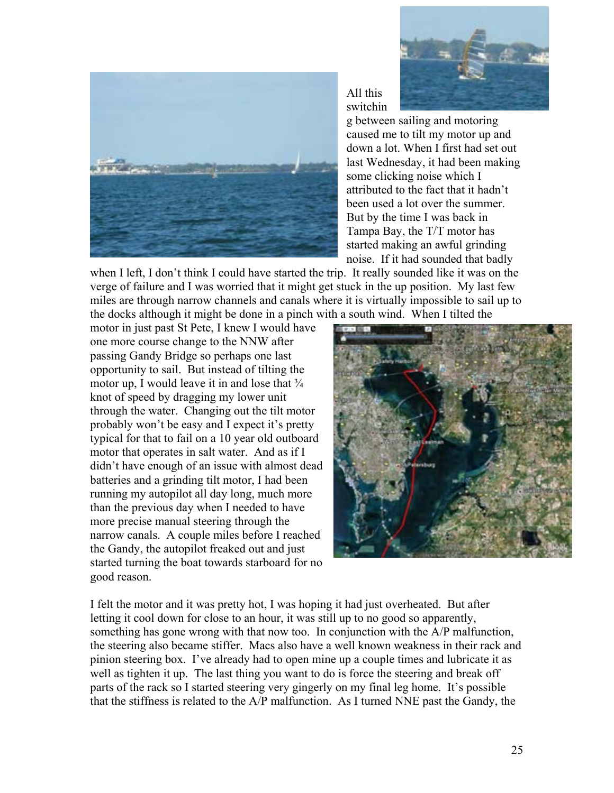



All this switchin

g between sailing and motoring caused me to tilt my motor up and down a lot. When I first had set out last Wednesday, it had been mak ing some clicking noise which I attributed to the fact that it hadn't been used a lot over the summer. But by the time I was back in Tampa Bay, the T/T motor has started making an awful grinding noise. If it had sounded that badl y

when I left, I don't think I could have started the trip. It really sounded like it was on the verge of failure and I was worried that it might get stuck in the up position. My last few miles are through narrow channels and canals where it is virtually impossible to sail up to the docks although it might be done in a pinch with a south wind. When I tilted the

motor in just past St Pete, I knew I would have one more course change to the NNW after passing Gandy Bridge so perhaps one last opportunity to sail. But instead of tilting the motor up, I would leave it in and lose that  $\frac{3}{4}$ knot of speed by dragging my lower unit through the water. Changing out the tilt motor probably won't be easy and I expect it's pretty typical for that to fail on a 10 year old out board motor that operates in salt water. And as if I didn't have enough of an issue with almost dea d batteries and a grinding tilt motor, I had been running my autopilot all day long, much more than the previous day when I needed to hav e more precise manual steering through the narrow canals. A couple miles before I reach ed the Gandy, the autopilot freaked out and ju st started turning the boat towards starboard for n o good reason.



I felt the motor and it was pretty hot, I was hoping it had just overheated. But after letting it cool down for close to an hour, it was still up to no good so apparently, something has gone wrong with that now too. In conjunction with the A/P malfunction, the steering also became stiffer. Macs also have a well known weakness in their rack and pinion steering box. I've already had to open mine up a couple times and lubricate it as well as tighten it up. The last thing you want to do is force the steering and break off parts of the rack so I started steering very gingerly on my final leg home. It's possible that the stiffness is related to the A/P malfunction. As I turned NNE past the Gandy, the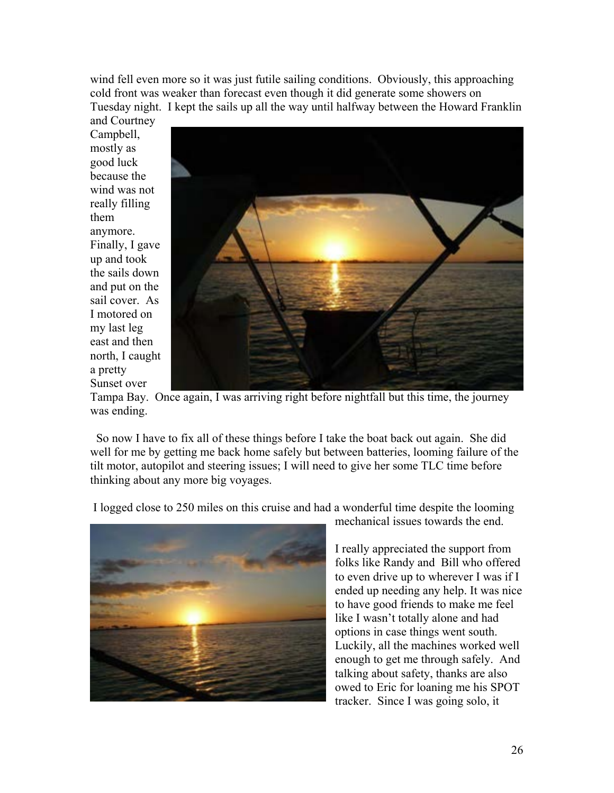wind fell even more so it was just futile sailing conditions. Obviously, this approaching cold front was weaker than forecast even though it did generate some showers on Tuesday night. I kept the sails up all the way until halfway between the Howard Franklin

and Courtney Campbell, mostly as good luck because the wind was not really filling them anymore. Finally, I gave up and took the sails down and put on the sail cover. As I motored on my last leg east and then north, I caught a pretty Sunset over



Tampa Bay. Once again, I was arriving right before nightfall but this time, the journey was ending.

 So now I have to fix all of these things before I take the boat back out again. She did well for me by getting me back home safely but between batteries, looming failure of the tilt motor, autopilot and steering issues; I will need to give her some TLC time before thinking about any more big voyages.

I logged close to 250 miles on this cruise and had a wonderful time despite the looming



mechanical issues towards the end.

I really appreciated the support from folks like Randy and Bill who offered to even drive up to wherever I was if I ended up needing any help. It was nice to have good friends to make me feel like I wasn't totally alone and had options in case things went south. Luckily, all the machines worked well enough to get me through safely. And talking about safety, thanks are also owed to Eric for loaning me his SPOT tracker. Since I was going solo, it